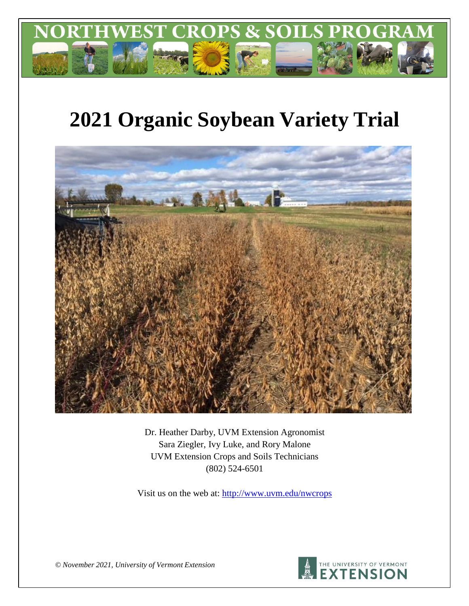

# **2021 Organic Soybean Variety Trial**



Dr. Heather Darby, UVM Extension Agronomist Sara Ziegler, Ivy Luke, and Rory Malone UVM Extension Crops and Soils Technicians (802) 524-6501

Visit us on the web at:<http://www.uvm.edu/nwcrops>



*© November 2021, University of Vermont Extension*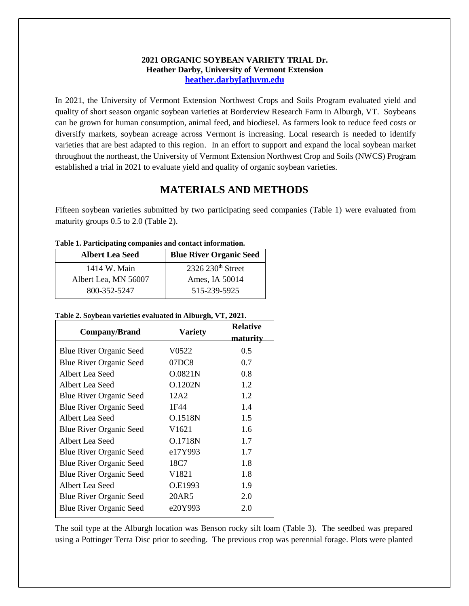#### **2021 ORGANIC SOYBEAN VARIETY TRIAL Dr. Heather Darby, University of Vermont Extension [heather.darby\[at\]uvm.edu](mailto:heather.darby@uvm.edu)**

In 2021, the University of Vermont Extension Northwest Crops and Soils Program evaluated yield and quality of short season organic soybean varieties at Borderview Research Farm in Alburgh, VT. Soybeans can be grown for human consumption, animal feed, and biodiesel. As farmers look to reduce feed costs or diversify markets, soybean acreage across Vermont is increasing. Local research is needed to identify varieties that are best adapted to this region. In an effort to support and expand the local soybean market throughout the northeast, the University of Vermont Extension Northwest Crop and Soils (NWCS) Program established a trial in 2021 to evaluate yield and quality of organic soybean varieties.

# **MATERIALS AND METHODS**

Fifteen soybean varieties submitted by two participating seed companies (Table 1) were evaluated from maturity groups 0.5 to 2.0 (Table 2).

| Tuone 11 1 ur ererpuenne compumico unu conturee mror muttoni |  |  |  |  |  |
|--------------------------------------------------------------|--|--|--|--|--|
| <b>Blue River Organic Seed</b>                               |  |  |  |  |  |
| $2326\ 230$ <sup>th</sup> Street                             |  |  |  |  |  |
| Ames, IA 50014                                               |  |  |  |  |  |
| 515-239-5925                                                 |  |  |  |  |  |
|                                                              |  |  |  |  |  |

**Table 1. Participating companies and contact information.**

#### **Table 2. Soybean varieties evaluated in Alburgh, VT, 2021.**

| Company/Brand                  | <b>Variety</b>    | <b>Relative</b><br><u>maturity</u> |  |
|--------------------------------|-------------------|------------------------------------|--|
| <b>Blue River Organic Seed</b> | V0522             | 0.5                                |  |
| <b>Blue River Organic Seed</b> | 07DC8             | 0.7                                |  |
| Albert Lea Seed                | O.0821N           | 0.8                                |  |
| Albert Lea Seed                | O.1202N           | 1.2                                |  |
| <b>Blue River Organic Seed</b> | 12A2              | 1.2                                |  |
| <b>Blue River Organic Seed</b> | 1F44              | 1.4                                |  |
| Albert Lea Seed                | O.1518N           | 1.5                                |  |
| <b>Blue River Organic Seed</b> | V <sub>1621</sub> | 1.6                                |  |
| Albert Lea Seed                | O.1718N           | 1.7                                |  |
| <b>Blue River Organic Seed</b> | e17Y993           | 1.7                                |  |
| <b>Blue River Organic Seed</b> | 18C7              | 1.8                                |  |
| <b>Blue River Organic Seed</b> | V1821             | 1.8                                |  |
| Albert Lea Seed                | O.E1993           | 1.9                                |  |
| <b>Blue River Organic Seed</b> | 20AR5             | 2.0                                |  |
| <b>Blue River Organic Seed</b> | e20Y993           | 2.0                                |  |

The soil type at the Alburgh location was Benson rocky silt loam (Table 3). The seedbed was prepared using a Pottinger Terra Disc prior to seeding. The previous crop was perennial forage. Plots were planted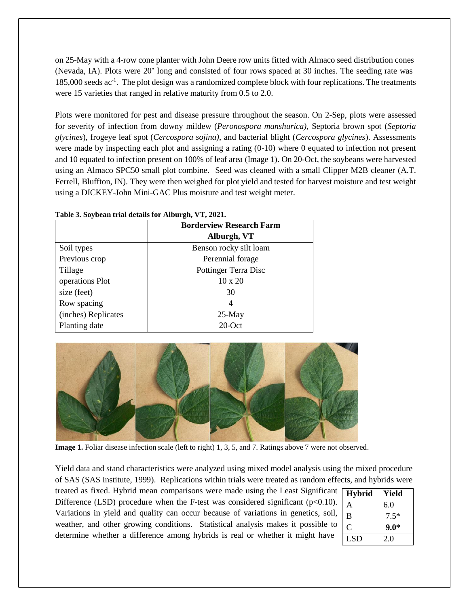on 25-May with a 4-row cone planter with John Deere row units fitted with Almaco seed distribution cones (Nevada, IA). Plots were 20' long and consisted of four rows spaced at 30 inches. The seeding rate was 185,000 seeds ac<sup>-1</sup>. The plot design was a randomized complete block with four replications. The treatments were 15 varieties that ranged in relative maturity from 0.5 to 2.0.

Plots were monitored for pest and disease pressure throughout the season. On 2-Sep, plots were assessed for severity of infection from downy mildew (*Peronospora manshurica),* Septoria brown spot (*Septoria glycines*), frogeye leaf spot (*Cercospora sojina)*, and bacterial blight (*Cercospora glycines*). Assessments were made by inspecting each plot and assigning a rating (0-10) where 0 equated to infection not present and 10 equated to infection present on 100% of leaf area (Image 1). On 20-Oct, the soybeans were harvested using an Almaco SPC50 small plot combine. Seed was cleaned with a small Clipper M2B cleaner (A.T. Ferrell, Bluffton, IN). They were then weighed for plot yield and tested for harvest moisture and test weight using a DICKEY-John Mini-GAC Plus moisture and test weight meter.

| Table 3. Soybean trial details for Alburgh, VT, 2021. |                                 |  |  |  |  |
|-------------------------------------------------------|---------------------------------|--|--|--|--|
|                                                       | <b>Borderview Research Farm</b> |  |  |  |  |
|                                                       | Alburgh, VT                     |  |  |  |  |
| Soil types                                            | Benson rocky silt loam          |  |  |  |  |
| Previous crop                                         | Perennial forage                |  |  |  |  |
| Tillage                                               | Pottinger Terra Disc            |  |  |  |  |
| operations Plot                                       | $10 \times 20$                  |  |  |  |  |
| size (feet)                                           | 30                              |  |  |  |  |
| Row spacing                                           | 4                               |  |  |  |  |
| (inches) Replicates                                   | $25-May$                        |  |  |  |  |

Planting date



**Image 1.** Foliar disease infection scale (left to right) 1, 3, 5, and 7. Ratings above 7 were not observed.

Yield data and stand characteristics were analyzed using mixed model analysis using the mixed procedure of SAS (SAS Institute, 1999). Replications within trials were treated as random effects, and hybrids were

20-Oct

treated as fixed. Hybrid mean comparisons were made using the Least Significant Difference (LSD) procedure when the F-test was considered significant ( $p<0.10$ ). Variations in yield and quality can occur because of variations in genetics, soil, weather, and other growing conditions. Statistical analysis makes it possible to determine whether a difference among hybrids is real or whether it might have

| <b>Hybrid</b> | Yield  |
|---------------|--------|
| А             | 6.0    |
| B             | $7.5*$ |
| C             | $9.0*$ |
| <b>LSD</b>    | 2.0    |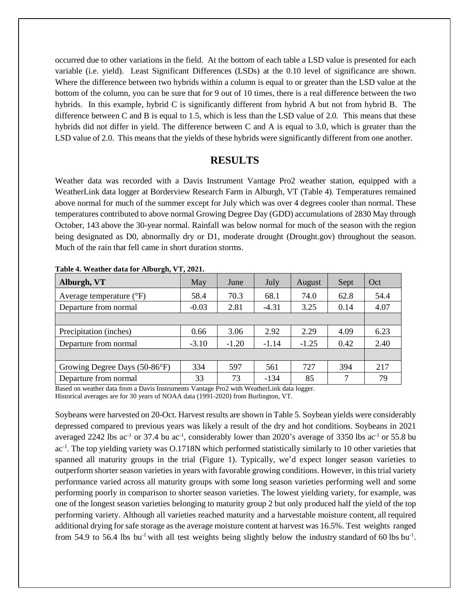occurred due to other variations in the field. At the bottom of each table a LSD value is presented for each variable (i.e. yield). Least Significant Differences (LSDs) at the 0.10 level of significance are shown. Where the difference between two hybrids within a column is equal to or greater than the LSD value at the bottom of the column, you can be sure that for 9 out of 10 times, there is a real difference between the two hybrids. In this example, hybrid C is significantly different from hybrid A but not from hybrid B. The difference between C and B is equal to 1.5, which is less than the LSD value of 2.0. This means that these hybrids did not differ in yield. The difference between C and A is equal to 3.0, which is greater than the LSD value of 2.0. This means that the yields of these hybrids were significantly different from one another.

### **RESULTS**

Weather data was recorded with a Davis Instrument Vantage Pro2 weather station, equipped with a WeatherLink data logger at Borderview Research Farm in Alburgh, VT (Table 4). Temperatures remained above normal for much of the summer except for July which was over 4 degrees cooler than normal. These temperatures contributed to above normal Growing Degree Day (GDD) accumulations of 2830 May through October, 143 above the 30-year normal. Rainfall was below normal for much of the season with the region being designated as D0, abnormally dry or D1, moderate drought (Drought.gov) throughout the season. Much of the rain that fell came in short duration storms.

| Alburgh, VT                         | May     | June    | July    | August  | Sept | Oct  |
|-------------------------------------|---------|---------|---------|---------|------|------|
| Average temperature $({}^{\circ}F)$ | 58.4    | 70.3    | 68.1    | 74.0    | 62.8 | 54.4 |
| Departure from normal               | $-0.03$ | 2.81    | $-4.31$ | 3.25    | 0.14 | 4.07 |
|                                     |         |         |         |         |      |      |
| Precipitation (inches)              | 0.66    | 3.06    | 2.92    | 2.29    | 4.09 | 6.23 |
| Departure from normal               | $-3.10$ | $-1.20$ | $-1.14$ | $-1.25$ | 0.42 | 2.40 |
|                                     |         |         |         |         |      |      |
| Growing Degree Days (50-86°F)       | 334     | 597     | 561     | 727     | 394  | 217  |
| Departure from normal               | 33      | 73      | $-134$  | 85      |      | 79   |

**Table 4. Weather data for Alburgh, VT, 2021.**

Based on weather data from a Davis Instruments Vantage Pro2 with WeatherLink data logger. Historical averages are for 30 years of NOAA data (1991-2020) from Burlington, VT.

Soybeans were harvested on 20-Oct. Harvest results are shown in Table 5. Soybean yields were considerably depressed compared to previous years was likely a result of the dry and hot conditions. Soybeans in 2021 averaged 2242 lbs ac<sup>-1</sup> or 37.4 bu ac<sup>-1</sup>, considerably lower than 2020's average of 3350 lbs ac<sup>-1</sup> or 55.8 bu ac<sup>-1</sup>. The top yielding variety was O.1718N which performed statistically similarly to 10 other varieties that spanned all maturity groups in the trial (Figure 1). Typically, we'd expect longer season varieties to outperform shorter season varieties in years with favorable growing conditions. However, in thistrial variety performance varied across all maturity groups with some long season varieties performing well and some performing poorly in comparison to shorter season varieties. The lowest yielding variety, for example, was one of the longest season varieties belonging to maturity group 2 but only produced half the yield of the top performing variety. Although all varieties reached maturity and a harvestable moisture content, all required additional drying for safe storage as the average moisture content at harvest was 16.5%. Test weights ranged from 54.9 to 56.4 lbs bu<sup>-1</sup> with all test weights being slightly below the industry standard of 60 lbs bu<sup>-1</sup>.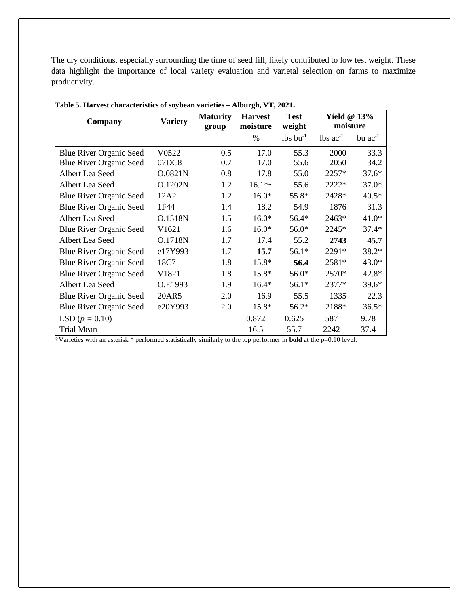The dry conditions, especially surrounding the time of seed fill, likely contributed to low test weight. These data highlight the importance of local variety evaluation and varietal selection on farms to maximize productivity.

| Company                        | <b>Variety</b> | <b>Maturity</b><br>group | <b>Harvest</b><br>moisture | <b>Test</b><br>weight  | Yield $@13\%$<br>moisture |              |
|--------------------------------|----------------|--------------------------|----------------------------|------------------------|---------------------------|--------------|
|                                |                |                          | $\%$                       | $lbs$ bu <sup>-1</sup> | $lbs$ ac <sup>-1</sup>    | bu $ac^{-1}$ |
| <b>Blue River Organic Seed</b> | V0522          | 0.5                      | 17.0                       | 55.3                   | 2000                      | 33.3         |
| <b>Blue River Organic Seed</b> | 07DC8          | 0.7                      | 17.0                       | 55.6                   | 2050                      | 34.2         |
| Albert Lea Seed                | O.0821N        | 0.8                      | 17.8                       | 55.0                   | 2257*                     | $37.6*$      |
| Albert Lea Seed                | O.1202N        | 1.2                      | $16.1*$ †                  | 55.6                   | 2222*                     | $37.0*$      |
| <b>Blue River Organic Seed</b> | 12A2           | 1.2                      | $16.0*$                    | 55.8*                  | 2428*                     | $40.5*$      |
| <b>Blue River Organic Seed</b> | 1F44           | 1.4                      | 18.2                       | 54.9                   | 1876                      | 31.3         |
| Albert Lea Seed                | O.1518N        | 1.5                      | $16.0*$                    | 56.4*                  | 2463*                     | $41.0*$      |
| <b>Blue River Organic Seed</b> | V1621          | 1.6                      | $16.0*$                    | 56.0*                  | 2245*                     | $37.4*$      |
| Albert Lea Seed                | O.1718N        | 1.7                      | 17.4                       | 55.2                   | 2743                      | 45.7         |
| <b>Blue River Organic Seed</b> | e17Y993        | 1.7                      | 15.7                       | $56.1*$                | 2291*                     | 38.2*        |
| Blue River Organic Seed        | 18C7           | 1.8                      | 15.8*                      | 56.4                   | 2581*                     | 43.0*        |
| <b>Blue River Organic Seed</b> | V1821          | 1.8                      | 15.8*                      | 56.0*                  | 2570*                     | 42.8*        |
| Albert Lea Seed                | O.E1993        | 1.9                      | $16.4*$                    | $56.1*$                | 2377*                     | 39.6*        |
| <b>Blue River Organic Seed</b> | 20AR5          | 2.0                      | 16.9                       | 55.5                   | 1335                      | 22.3         |
| <b>Blue River Organic Seed</b> | e20Y993        | 2.0                      | 15.8*                      | 56.2*                  | 2188*                     | $36.5*$      |
| LSD $(p = 0.10)$               |                |                          | 0.872                      | 0.625                  | 587                       | 9.78         |
| <b>Trial Mean</b>              |                |                          | 16.5                       | 55.7                   | 2242                      | 37.4         |

†Varieties with an asterisk \* performed statistically similarly to the top performer in **bold** at the p=0.10 level.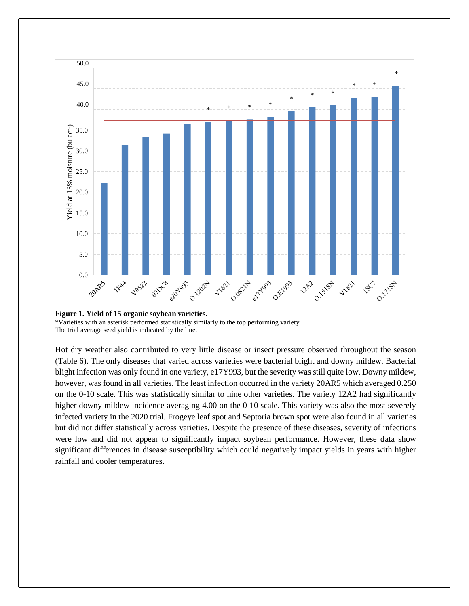

**Figure 1. Yield of 15 organic soybean varieties.**

\*Varieties with an asterisk performed statistically similarly to the top performing variety. The trial average seed yield is indicated by the line.

Hot dry weather also contributed to very little disease or insect pressure observed throughout the season (Table 6). The only diseases that varied across varieties were bacterial blight and downy mildew. Bacterial blight infection was only found in one variety, e17Y993, but the severity was still quite low. Downy mildew, however, was found in all varieties. The least infection occurred in the variety 20AR5 which averaged 0.250 on the 0-10 scale. This was statistically similar to nine other varieties. The variety 12A2 had significantly higher downy mildew incidence averaging 4.00 on the 0-10 scale. This variety was also the most severely infected variety in the 2020 trial. Frogeye leaf spot and Septoria brown spot were also found in all varieties but did not differ statistically across varieties. Despite the presence of these diseases, severity of infections were low and did not appear to significantly impact soybean performance. However, these data show significant differences in disease susceptibility which could negatively impact yields in years with higher rainfall and cooler temperatures.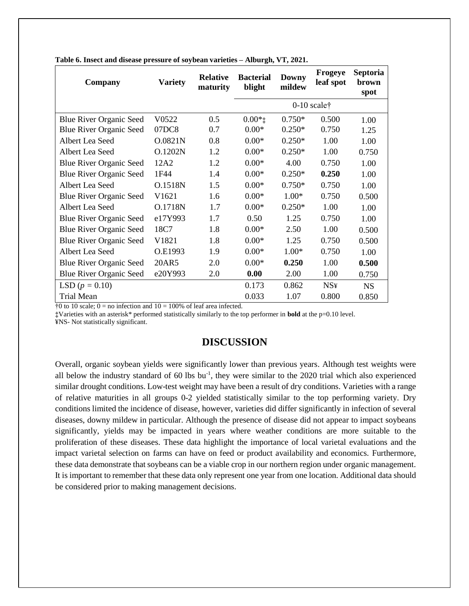| Company                        | <b>Variety</b> | <b>Relative</b><br>maturity | <b>Bacterial</b><br>blight | <b>Downy</b><br>mildew | <b>Frogeye</b><br>leaf spot | <b>Septoria</b><br>brown<br>spot |
|--------------------------------|----------------|-----------------------------|----------------------------|------------------------|-----------------------------|----------------------------------|
|                                |                |                             | $0-10$ scale $\dagger$     |                        |                             |                                  |
| <b>Blue River Organic Seed</b> | V0522          | 0.5                         | $0.00*$                    | $0.750*$               | 0.500                       | 1.00                             |
| Blue River Organic Seed        | 07DC8          | 0.7                         | $0.00*$                    | $0.250*$               | 0.750                       | 1.25                             |
| Albert Lea Seed                | O.0821N        | 0.8                         | $0.00*$                    | $0.250*$               | 1.00                        | 1.00                             |
| Albert Lea Seed                | O.1202N        | 1.2                         | $0.00*$                    | $0.250*$               | 1.00                        | 0.750                            |
| <b>Blue River Organic Seed</b> | 12A2           | 1.2                         | $0.00*$                    | 4.00                   | 0.750                       | 1.00                             |
| <b>Blue River Organic Seed</b> | 1F44           | 1.4                         | $0.00*$                    | $0.250*$               | 0.250                       | 1.00                             |
| Albert Lea Seed                | O.1518N        | 1.5                         | $0.00*$                    | $0.750*$               | 0.750                       | 1.00                             |
| <b>Blue River Organic Seed</b> | V1621          | 1.6                         | $0.00*$                    | $1.00*$                | 0.750                       | 0.500                            |
| Albert Lea Seed                | O.1718N        | 1.7                         | $0.00*$                    | $0.250*$               | 1.00                        | 1.00                             |
| Blue River Organic Seed        | e17Y993        | 1.7                         | 0.50                       | 1.25                   | 0.750                       | 1.00                             |
| <b>Blue River Organic Seed</b> | 18C7           | 1.8                         | $0.00*$                    | 2.50                   | 1.00                        | 0.500                            |
| Blue River Organic Seed        | V1821          | 1.8                         | $0.00*$                    | 1.25                   | 0.750                       | 0.500                            |
| Albert Lea Seed                | O.E1993        | 1.9                         | $0.00*$                    | 1.00*                  | 0.750                       | 1.00                             |
| Blue River Organic Seed        | 20AR5          | 2.0                         | $0.00*$                    | 0.250                  | 1.00                        | 0.500                            |
| <b>Blue River Organic Seed</b> | e20Y993        | 2.0                         | 0.00                       | 2.00                   | 1.00                        | 0.750                            |
| LSD $(p = 0.10)$               |                |                             | 0.173                      | 0.862                  | <b>NS¥</b>                  | <b>NS</b>                        |
| Trial Mean                     |                |                             | 0.033                      | 1.07                   | 0.800                       | 0.850                            |

**Table 6. Insect and disease pressure of soybean varieties – Alburgh, VT, 2021.**

 $\frac{1}{10}$  to 10 scale; 0 = no infection and 10 = 100% of leaf area infected.

**‡**Varieties with an asterisk\* performed statistically similarly to the top performer in **bold** at the p=0.10 level.

¥NS- Not statistically significant.

## **DISCUSSION**

Overall, organic soybean yields were significantly lower than previous years. Although test weights were all below the industry standard of 60 lbs bu<sup>-1</sup>, they were similar to the 2020 trial which also experienced similar drought conditions. Low-test weight may have been a result of dry conditions. Varieties with a range of relative maturities in all groups 0-2 yielded statistically similar to the top performing variety. Dry conditions limited the incidence of disease, however, varieties did differ significantly in infection of several diseases, downy mildew in particular. Although the presence of disease did not appear to impact soybeans significantly, yields may be impacted in years where weather conditions are more suitable to the proliferation of these diseases. These data highlight the importance of local varietal evaluations and the impact varietal selection on farms can have on feed or product availability and economics. Furthermore, these data demonstrate that soybeans can be a viable crop in our northern region under organic management. It is important to remember that these data only represent one year from one location. Additional data should be considered prior to making management decisions.